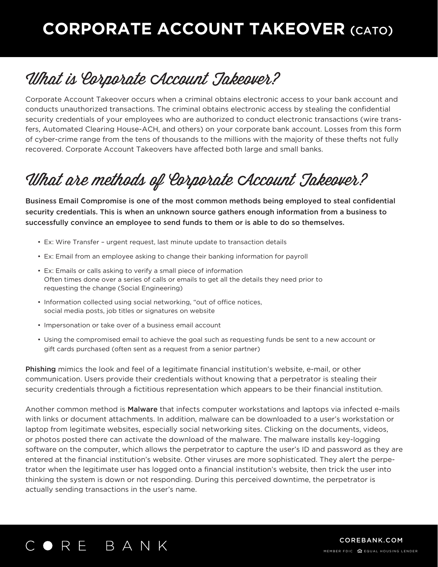# **CORPORATE ACCOUNT TAKEOVER** (CATO)

### What is Corporate Account Takeover?

Corporate Account Takeover occurs when a criminal obtains electronic access to your bank account and conducts unauthorized transactions. The criminal obtains electronic access by stealing the confidential security credentials of your employees who are authorized to conduct electronic transactions (wire transfers, Automated Clearing House-ACH, and others) on your corporate bank account. Losses from this form of cyber-crime range from the tens of thousands to the millions with the majority of these thefts not fully recovered. Corporate Account Takeovers have affected both large and small banks.

## What are methods of Corporate Account Takeover?

Business Email Compromise is one of the most common methods being employed to steal confidential security credentials. This is when an unknown source gathers enough information from a business to successfully convince an employee to send funds to them or is able to do so themselves.

- Ex: Wire Transfer urgent request, last minute update to transaction details
- Ex: Email from an employee asking to change their banking information for payroll
- Ex: Emails or calls asking to verify a small piece of information Often times done over a series of calls or emails to get all the details they need prior to requesting the change (Social Engineering)
- Information collected using social networking, "out of office notices, social media posts, job titles or signatures on website
- Impersonation or take over of a business email account
- Using the compromised email to achieve the goal such as requesting funds be sent to a new account or gift cards purchased (often sent as a request from a senior partner)

Phishing mimics the look and feel of a legitimate financial institution's website, e-mail, or other communication. Users provide their credentials without knowing that a perpetrator is stealing their security credentials through a fictitious representation which appears to be their financial institution.

Another common method is **Malware** that infects computer workstations and laptops via infected e-mails with links or document attachments. In addition, malware can be downloaded to a user's workstation or laptop from legitimate websites, especially social networking sites. Clicking on the documents, videos, or photos posted there can activate the download of the malware. The malware installs key-logging software on the computer, which allows the perpetrator to capture the user's ID and password as they are entered at the financial institution's website. Other viruses are more sophisticated. They alert the perpetrator when the legitimate user has logged onto a financial institution's website, then trick the user into thinking the system is down or not responding. During this perceived downtime, the perpetrator is actually sending transactions in the user's name.



MEMBER FDIC EQUAL HOUSING LENDER COREBANK.COM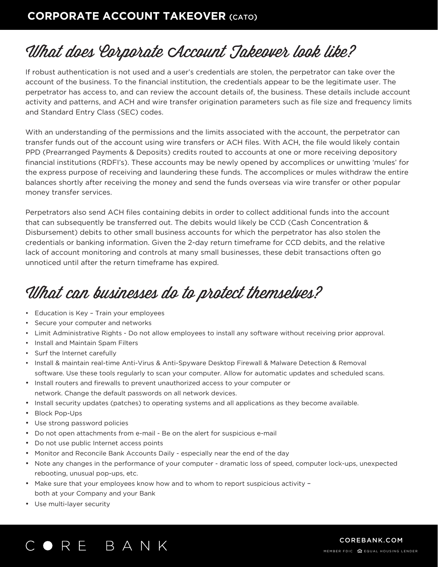#### **CORPORATE ACCOUNT TAKEOVER** (CATO)

# What does Corporate Account Takeover look like?

If robust authentication is not used and a user's credentials are stolen, the perpetrator can take over the account of the business. To the financial institution, the credentials appear to be the legitimate user. The perpetrator has access to, and can review the account details of, the business. These details include account activity and patterns, and ACH and wire transfer origination parameters such as file size and frequency limits and Standard Entry Class (SEC) codes.

With an understanding of the permissions and the limits associated with the account, the perpetrator can transfer funds out of the account using wire transfers or ACH files. With ACH, the file would likely contain PPD (Prearranged Payments & Deposits) credits routed to accounts at one or more receiving depository financial institutions (RDFI's). These accounts may be newly opened by accomplices or unwitting 'mules' for the express purpose of receiving and laundering these funds. The accomplices or mules withdraw the entire balances shortly after receiving the money and send the funds overseas via wire transfer or other popular money transfer services.

Perpetrators also send ACH files containing debits in order to collect additional funds into the account that can subsequently be transferred out. The debits would likely be CCD (Cash Concentration & Disbursement) debits to other small business accounts for which the perpetrator has also stolen the credentials or banking information. Given the 2-day return timeframe for CCD debits, and the relative lack of account monitoring and controls at many small businesses, these debit transactions often go unnoticed until after the return timeframe has expired.

## What can businesses do to protect themselves?

- Education is Key Train your employees
- Secure your computer and networks
- Limit Administrative Rights Do not allow employees to install any software without receiving prior approval.
- Install and Maintain Spam Filters
- Surf the Internet carefully
- Install & maintain real-time Anti-Virus & Anti-Spyware Desktop Firewall & Malware Detection & Removal software. Use these tools regularly to scan your computer. Allow for automatic updates and scheduled scans.
- Install routers and firewalls to prevent unauthorized access to your computer or network. Change the default passwords on all network devices.
- Install security updates (patches) to operating systems and all applications as they become available.
- Block Pop-Ups
- Use strong password policies
- Do not open attachments from e-mail Be on the alert for suspicious e-mail
- Do not use public Internet access points
- Monitor and Reconcile Bank Accounts Daily especially near the end of the day
- Note any changes in the performance of your computer dramatic loss of speed, computer lock-ups, unexpected rebooting, unusual pop-ups, etc.
- Make sure that your employees know how and to whom to report suspicious activity both at your Company and your Bank
- Use multi-layer security

#### ORE BANK